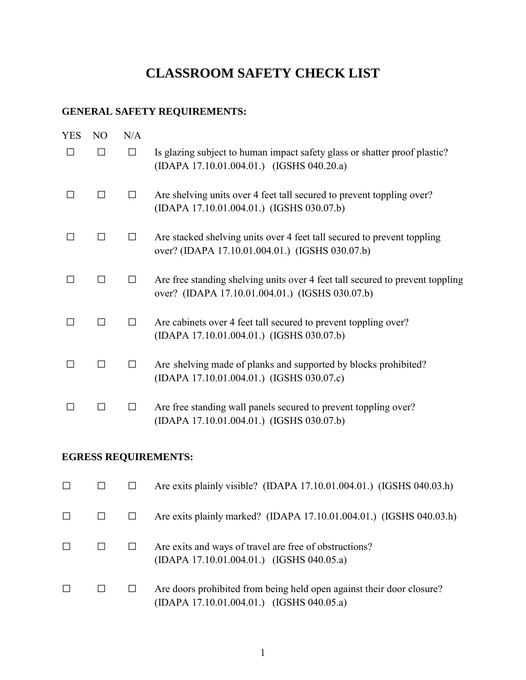# **CLASSROOM SAFETY CHECK LIST**

## **GENERAL SAFETY REQUIREMENTS:**

| YES | N <sub>O</sub> | N/A          |                                                                                                                                  |
|-----|----------------|--------------|----------------------------------------------------------------------------------------------------------------------------------|
| П   |                | $\Box$       | Is glazing subject to human impact safety glass or shatter proof plastic?<br>(IDAPA 17.10.01.004.01.) (IGSHS 040.20.a)           |
|     |                |              | Are shelving units over 4 feet tall secured to prevent toppling over?<br>(IDAPA 17.10.01.004.01.) (IGSHS 030.07.b)               |
|     |                | $\perp$      | Are stacked shelving units over 4 feet tall secured to prevent toppling<br>over? (IDAPA 17.10.01.004.01.) (IGSHS 030.07.b)       |
|     | ΙI             | $\perp$      | Are free standing shelving units over 4 feet tall secured to prevent toppling<br>over? (IDAPA 17.10.01.004.01.) (IGSHS 030.07.b) |
|     |                | П            | Are cabinets over 4 feet tall secured to prevent toppling over?<br>(IDAPA 17.10.01.004.01.) (IGSHS 030.07.b)                     |
|     |                | $\mathsf{L}$ | Are shelving made of planks and supported by blocks prohibited?<br>(IDAPA 17.10.01.004.01.) (IGSHS 030.07.c)                     |
|     |                | $\perp$      | Are free standing wall panels secured to prevent toppling over?<br>(IDAPA 17.10.01.004.01.) (IGSHS 030.07.b)                     |

#### **EGRESS REQUIREMENTS:**

|        |  | Are exits plainly visible? (IDAPA 17.10.01.004.01.) (IGSHS 040.03.h)                                               |
|--------|--|--------------------------------------------------------------------------------------------------------------------|
| $\Box$ |  | Are exits plainly marked? (IDAPA 17.10.01.004.01.) (IGSHS 040.03.h)                                                |
|        |  | Are exits and ways of travel are free of obstructions?<br>(IDAPA 17.10.01.004.01.) (IGSHS 040.05.a)                |
|        |  | Are doors prohibited from being held open against their door closure?<br>(IDAPA 17.10.01.004.01.) (IGSHS 040.05.a) |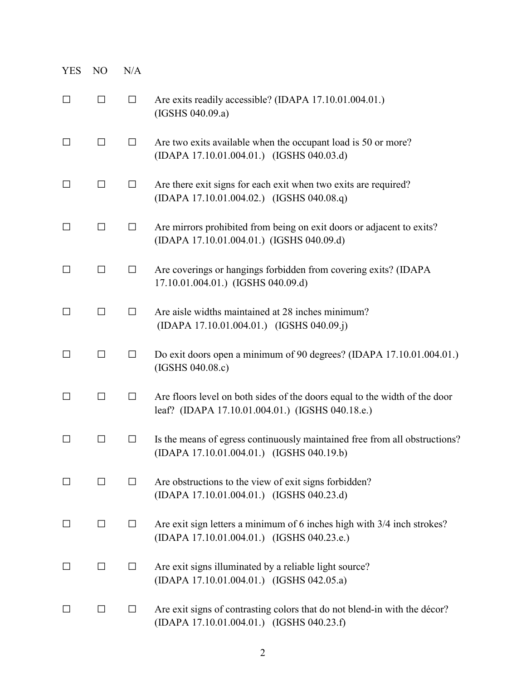| <b>YES</b>   | N <sub>O</sub> | N/A    |                                                                                                                                |
|--------------|----------------|--------|--------------------------------------------------------------------------------------------------------------------------------|
| $\Box$       | □              | $\Box$ | Are exits readily accessible? (IDAPA 17.10.01.004.01.)<br>(IGSHS 040.09.a)                                                     |
| □            | □              | $\Box$ | Are two exits available when the occupant load is 50 or more?<br>(IDAPA 17.10.01.004.01.) (IGSHS 040.03.d)                     |
| □            | $\Box$         | $\Box$ | Are there exit signs for each exit when two exits are required?<br>(IDAPA 17.10.01.004.02.) (IGSHS 040.08.q)                   |
| $\Box$       | $\Box$         | $\Box$ | Are mirrors prohibited from being on exit doors or adjacent to exits?<br>(IDAPA 17.10.01.004.01.) (IGSHS 040.09.d)             |
| □            | □              | $\Box$ | Are coverings or hangings forbidden from covering exits? (IDAPA<br>17.10.01.004.01.) (IGSHS 040.09.d)                          |
| □            | $\Box$         | □      | Are aisle widths maintained at 28 inches minimum?<br>(IDAPA 17.10.01.004.01.) (IGSHS 040.09.j)                                 |
| □            | $\Box$         | $\Box$ | Do exit doors open a minimum of 90 degrees? (IDAPA 17.10.01.004.01.)<br>(IGSHS 040.08.c)                                       |
| □            | $\Box$         | $\Box$ | Are floors level on both sides of the doors equal to the width of the door<br>leaf? (IDAPA 17.10.01.004.01.) (IGSHS 040.18.e.) |
| $\mathsf{L}$ | $\Box$         | ப      | Is the means of egress continuously maintained free from all obstructions?<br>(IDAPA 17.10.01.004.01.) (IGSHS 040.19.b)        |
| $\Box$       | П              | $\Box$ | Are obstructions to the view of exit signs forbidden?<br>(IDAPA 17.10.01.004.01.) (IGSHS 040.23.d)                             |
| $\Box$       | □              | $\Box$ | Are exit sign letters a minimum of 6 inches high with 3/4 inch strokes?<br>(IDAPA 17.10.01.004.01.) (IGSHS 040.23.e.)          |
| $\Box$       | $\Box$         | $\Box$ | Are exit signs illuminated by a reliable light source?<br>(IDAPA 17.10.01.004.01.) (IGSHS 042.05.a)                            |
| $\Box$       | $\Box$         | $\Box$ | Are exit signs of contrasting colors that do not blend-in with the décor?<br>(IDAPA 17.10.01.004.01.) (IGSHS 040.23.f)         |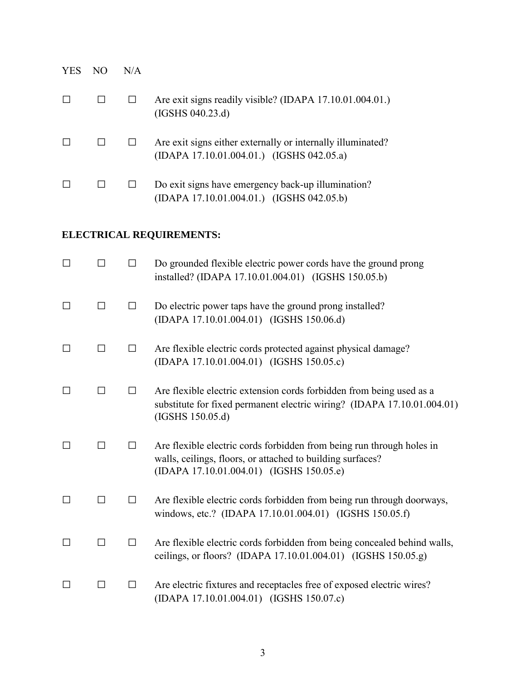| <b>YES</b> | NO | N/A |                                                                                                          |
|------------|----|-----|----------------------------------------------------------------------------------------------------------|
|            |    |     | Are exit signs readily visible? (IDAPA 17.10.01.004.01.)<br>(IGSHS 040.23.d)                             |
|            |    |     | Are exit signs either externally or internally illuminated?<br>(IDAPA 17.10.01.004.01.) (IGSHS 042.05.a) |
|            |    |     | Do exit signs have emergency back-up illumination?<br>$(IDAPA 17.10.01.004.01.)$ $(IGSHS 042.05.b)$      |

## **ELECTRICAL REQUIREMENTS:**

|   |              | П       | Do grounded flexible electric power cords have the ground prong<br>installed? (IDAPA 17.10.01.004.01) (IGSHS 150.05.b)                                                          |
|---|--------------|---------|---------------------------------------------------------------------------------------------------------------------------------------------------------------------------------|
|   | П            | $\Box$  | Do electric power taps have the ground prong installed?<br>(IDAPA 17.10.01.004.01) (IGSHS 150.06.d)                                                                             |
| П | П            | $\Box$  | Are flexible electric cords protected against physical damage?<br>(IDAPA 17.10.01.004.01) (IGSHS 150.05.c)                                                                      |
|   | $\mathsf{L}$ | П       | Are flexible electric extension cords forbidden from being used as a<br>substitute for fixed permanent electric wiring? (IDAPA 17.10.01.004.01)<br>(IGSHS 150.05.d)             |
|   |              | П       | Are flexible electric cords forbidden from being run through holes in<br>walls, ceilings, floors, or attached to building surfaces?<br>(IDAPA 17.10.01.004.01) (IGSHS 150.05.e) |
| П | П            | П       | Are flexible electric cords forbidden from being run through doorways,<br>windows, etc.? (IDAPA 17.10.01.004.01) (IGSHS 150.05.f)                                               |
|   | П            | П       | Are flexible electric cords forbidden from being concealed behind walls,<br>ceilings, or floors? (IDAPA 17.10.01.004.01) (IGSHS 150.05.g)                                       |
|   | П            | $\perp$ | Are electric fixtures and receptacles free of exposed electric wires?<br>(IDAPA 17.10.01.004.01) (IGSHS 150.07.c)                                                               |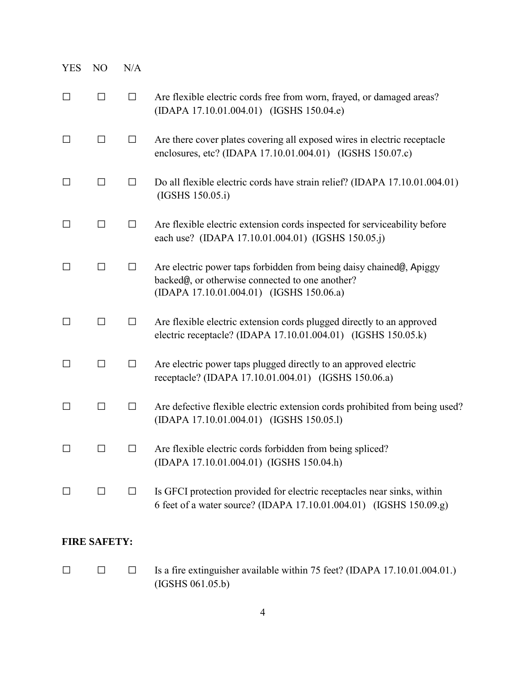| <b>YES</b> | N <sub>O</sub> | N/A    |                                                                                                                                                                    |
|------------|----------------|--------|--------------------------------------------------------------------------------------------------------------------------------------------------------------------|
| $\Box$     | □              | $\Box$ | Are flexible electric cords free from worn, frayed, or damaged areas?<br>(IDAPA 17.10.01.004.01) (IGSHS 150.04.e)                                                  |
| $\Box$     | □              | $\Box$ | Are there cover plates covering all exposed wires in electric receptacle<br>enclosures, etc? (IDAPA 17.10.01.004.01) (IGSHS 150.07.c)                              |
| $\Box$     | □              | $\Box$ | Do all flexible electric cords have strain relief? (IDAPA 17.10.01.004.01)<br>(IGSHS 150.05.i)                                                                     |
| $\Box$     | □              | $\Box$ | Are flexible electric extension cords inspected for serviceability before<br>each use? (IDAPA 17.10.01.004.01) (IGSHS 150.05.j)                                    |
| П          | □              | $\Box$ | Are electric power taps forbidden from being daisy chained@, Apiggy<br>backed@, or otherwise connected to one another?<br>(IDAPA 17.10.01.004.01) (IGSHS 150.06.a) |
| $\Box$     | $\Box$         | $\Box$ | Are flexible electric extension cords plugged directly to an approved<br>electric receptacle? (IDAPA 17.10.01.004.01) (IGSHS 150.05.k)                             |
| $\Box$     | П              | $\Box$ | Are electric power taps plugged directly to an approved electric<br>receptacle? (IDAPA 17.10.01.004.01) (IGSHS 150.06.a)                                           |
| $\Box$     | П              | $\Box$ | Are defective flexible electric extension cords prohibited from being used?<br>(IDAPA 17.10.01.004.01) (IGSHS 150.05.1)                                            |
| $\Box$     | $\Box$         | $\Box$ | Are flexible electric cords forbidden from being spliced?<br>(IDAPA 17.10.01.004.01) (IGSHS 150.04.h)                                                              |
| ⊔          | $\Box$         | $\Box$ | Is GFCI protection provided for electric receptacles near sinks, within<br>6 feet of a water source? (IDAPA 17.10.01.004.01) (IGSHS 150.09.g)                      |

### **FIRE SAFETY:**

□ □ □ Is a fire extinguisher available within 75 feet? (IDAPA 17.10.01.004.01.) (IGSHS 061.05.b)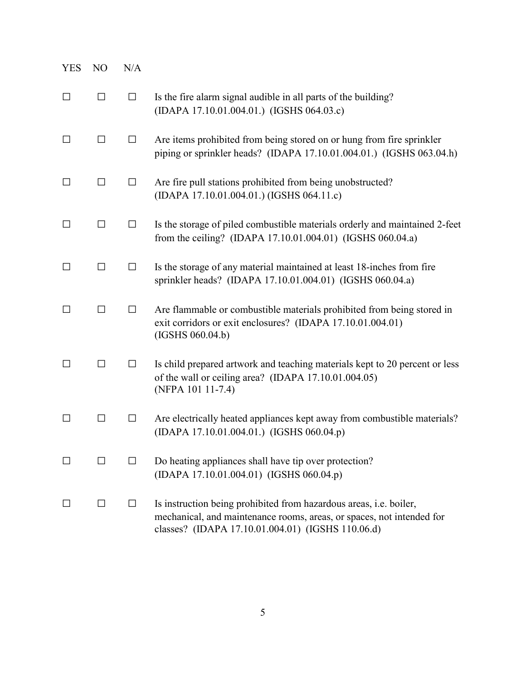| <b>YES</b> | N <sub>O</sub> | N/A    |                                                                                                                                                                                                         |
|------------|----------------|--------|---------------------------------------------------------------------------------------------------------------------------------------------------------------------------------------------------------|
| □          | $\Box$         | $\Box$ | Is the fire alarm signal audible in all parts of the building?<br>(IDAPA 17.10.01.004.01.) (IGSHS 064.03.c)                                                                                             |
| $\Box$     | $\Box$         | $\Box$ | Are items prohibited from being stored on or hung from fire sprinkler<br>piping or sprinkler heads? (IDAPA 17.10.01.004.01.) (IGSHS 063.04.h)                                                           |
| ΙI         | $\Box$         | $\Box$ | Are fire pull stations prohibited from being unobstructed?<br>(IDAPA 17.10.01.004.01.) (IGSHS 064.11.c)                                                                                                 |
| ΙI         | $\Box$         | $\Box$ | Is the storage of piled combustible materials orderly and maintained 2-feet<br>from the ceiling? (IDAPA 17.10.01.004.01) (IGSHS 060.04.a)                                                               |
| П          | $\Box$         | $\Box$ | Is the storage of any material maintained at least 18-inches from fire<br>sprinkler heads? (IDAPA 17.10.01.004.01) (IGSHS 060.04.a)                                                                     |
| □          | □              | $\Box$ | Are flammable or combustible materials prohibited from being stored in<br>exit corridors or exit enclosures? (IDAPA 17.10.01.004.01)<br>(IGSHS 060.04.b)                                                |
| □          | □              | $\Box$ | Is child prepared artwork and teaching materials kept to 20 percent or less<br>of the wall or ceiling area? (IDAPA 17.10.01.004.05)<br>(NFPA 101 11-7.4)                                                |
| $\Box$     | □              | $\Box$ | Are electrically heated appliances kept away from combustible materials?<br>(IDAPA 17.10.01.004.01.) (IGSHS 060.04.p)                                                                                   |
|            | $\mathsf{L}$   |        | Do heating appliances shall have tip over protection?<br>(IDAPA 17.10.01.004.01) (IGSHS 060.04.p)                                                                                                       |
|            | □              | $\Box$ | Is instruction being prohibited from hazardous areas, <i>i.e.</i> boiler,<br>mechanical, and maintenance rooms, areas, or spaces, not intended for<br>classes? (IDAPA 17.10.01.004.01) (IGSHS 110.06.d) |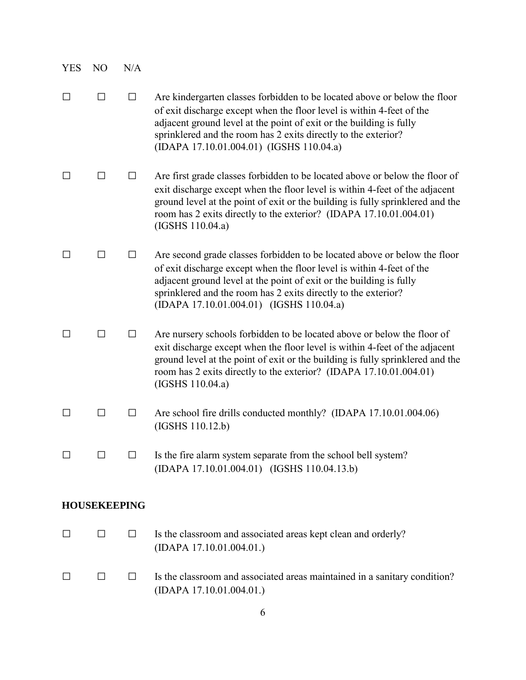| YES     | N <sub>O</sub>      | N/A    |                                                                                                                                                                                                                                                                                                                                         |
|---------|---------------------|--------|-----------------------------------------------------------------------------------------------------------------------------------------------------------------------------------------------------------------------------------------------------------------------------------------------------------------------------------------|
| $\perp$ | $\Box$              | $\Box$ | Are kindergarten classes forbidden to be located above or below the floor<br>of exit discharge except when the floor level is within 4-feet of the<br>adjacent ground level at the point of exit or the building is fully<br>sprinklered and the room has 2 exits directly to the exterior?<br>(IDAPA 17.10.01.004.01) (IGSHS 110.04.a) |
| $\perp$ | ΙI                  | $\Box$ | Are first grade classes forbidden to be located above or below the floor of<br>exit discharge except when the floor level is within 4-feet of the adjacent<br>ground level at the point of exit or the building is fully sprinklered and the<br>room has 2 exits directly to the exterior? (IDAPA 17.10.01.004.01)<br>(IGSHS 110.04.a)  |
| $\perp$ | ΙI                  | ப      | Are second grade classes forbidden to be located above or below the floor<br>of exit discharge except when the floor level is within 4-feet of the<br>adjacent ground level at the point of exit or the building is fully<br>sprinklered and the room has 2 exits directly to the exterior?<br>(IDAPA 17.10.01.004.01) (IGSHS 110.04.a) |
| $\perp$ | П                   | $\Box$ | Are nursery schools forbidden to be located above or below the floor of<br>exit discharge except when the floor level is within 4-feet of the adjacent<br>ground level at the point of exit or the building is fully sprinklered and the<br>room has 2 exits directly to the exterior? (IDAPA 17.10.01.004.01)<br>(IGSHS 110.04.a)      |
| $\Box$  | ΙI                  | $\Box$ | Are school fire drills conducted monthly? (IDAPA 17.10.01.004.06)<br>(IGSHS 110.12.b)                                                                                                                                                                                                                                                   |
|         |                     | $\Box$ | Is the fire alarm system separate from the school bell system?<br>(IDAPA 17.10.01.004.01) (IGSHS 110.04.13.b)                                                                                                                                                                                                                           |
|         | <b>HOUSEKEEPING</b> |        |                                                                                                                                                                                                                                                                                                                                         |
| $\Box$  | $\Box$              | $\Box$ | Is the classroom and associated areas kept clean and orderly?<br>(IDAPA 17.10.01.004.01.)                                                                                                                                                                                                                                               |
| ⊔       | $\Box$              | $\Box$ | Is the classroom and associated areas maintained in a sanitary condition?<br>(IDAPA 17.10.01.004.01.)                                                                                                                                                                                                                                   |